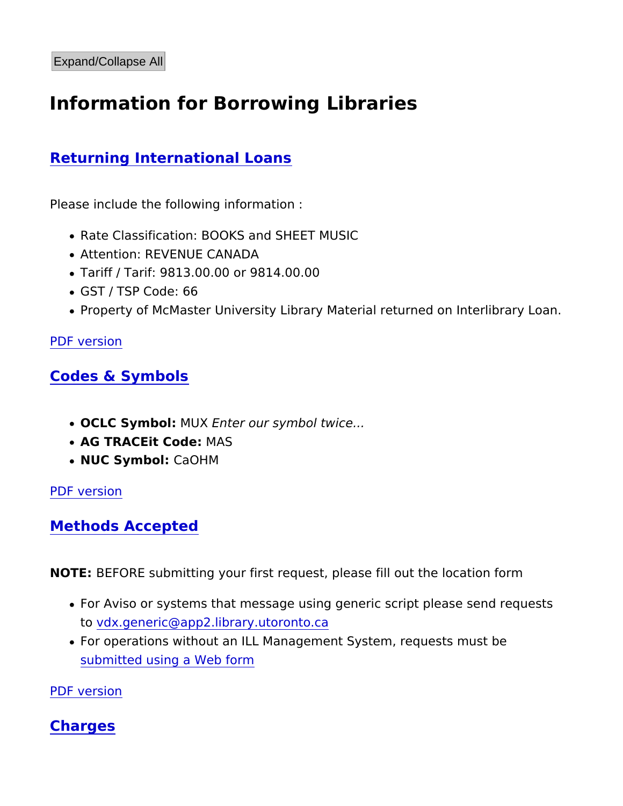# Information for Borrowing Libraries

# Returning International Loans

Please include the following information :

- Rate Classification: BOOKS and SHEET MUSIC
- Attention: REVENUE CANADA
- Tariff / Tarif: 9813.00.00 or 9814.00.00
- GST / TSP Code: 66
- Property of McMaster University Library Material returned on

## [PDF vers](https://library.mcmaster.ca/print/pdf/node/17304)ion

## Codes & Symbols

- OCLC SymboM U XEnter our symbol twice...
- AG TRACEit CoMAS
- $\bullet$  NUC Symbo $G$ aOHM

[PDF vers](https://library.mcmaster.ca/print/pdf/node/17304)ion

Methods Accepted

NOTEBEFORE submitting your first request, please fill out the loc

- For Aviso or systems that message using generic script please t[o vdx.generic@app2.library.u](https://mail.google.com/mail?view=cm&tf=0&ui=1&to=vdx.generic@app2.library.utoronto.ca)toronto.ca
- For operations without an ILL Management System, requests m [submitted using a W](http://illforms.scholarsportal.info/vdx_illreq.htm)eb form

[PDF vers](https://library.mcmaster.ca/print/pdf/node/17304)ion

# Charges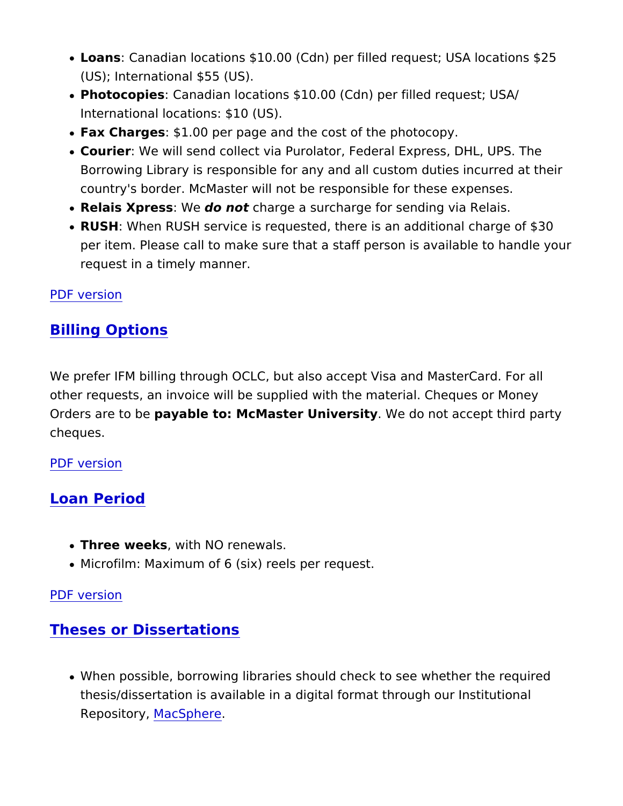- LoansCanadian locations \$10.00 (Cdn) per filled request; USA (US); International \$55 (US).
- PhotocopieGanadian locations \$10.00 (Cdn) per filled request; International locations: \$10 (US).
- Fax Charge\$1.00 per page and the cost of the photocopy.
- . Courier We will send collect via Purolator, Federal Express, DI Borrowing Library is responsible for any and all custom duties country's border. McMaster will not be responsible for these e
- Relais Xpres\& do notcharge a surcharge for sending via Relais
- RUSH When RUSH service is requested, there is an additional per item. Please call to make sure that a staff person is avail request in a timely manner.

#### [PDF vers](https://library.mcmaster.ca/print/pdf/node/17304)ion

## Billing Options

We prefer IFM billing through OCLC, but also accept Visa and Ma other requests, an invoice will be supplied with the material. Che Orders are tpayable to: McMaster UniveWs et do not accept third party cheques.

#### [PDF vers](https://library.mcmaster.ca/print/pdf/node/17304)ion

## Loan Period

- Three weekswith NO renewals.
- Microfilm: Maximum of 6 (six) reels per request.

#### [PDF vers](https://library.mcmaster.ca/print/pdf/node/17304)ion

## Theses or Dissertations

• When possible, borrowing libraries should check to see wheth thesis/dissertation is available in a digital format through our RepositoMyacSphere